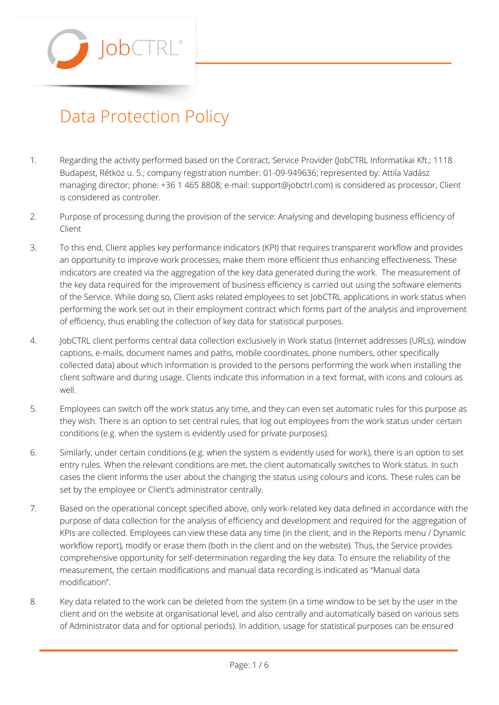$\mathsf{lobC}$ 

## Data Protection Policy

- 1. Regarding the activity performed based on the Contract, Service Provider (JobCTRL Informatikai Kft.; 1118 Budapest, Rétköz u. 5.; company registration number: 01-09-949636; represented by: Attila Vadász managing director; phone: +36 1 465 8808; e-mail: [support@jobctrl.com\)](mailto:support@jobctrl.com) is considered as processor, Client is considered as controller.
- 2. Purpose of processing during the provision of the service: Analysing and developing business efficiency of Client
- 3. To this end, Client applies key performance indicators (KPI) that requires transparent workflow and provides an opportunity to improve work processes, make them more efficient thus enhancing effectiveness. These indicators are created via the aggregation of the key data generated during the work. The measurement of the key data required for the improvement of business efficiency is carried out using the software elements of the Service. While doing so, Client asks related employees to set JobCTRL applications in work status when performing the work set out in their employment contract which forms part of the analysis and improvement of efficiency, thus enabling the collection of key data for statistical purposes.
- 4. JobCTRL client performs central data collection exclusively in Work status (Internet addresses (URLs), window captions, e-mails, document names and paths, mobile coordinates, phone numbers, other specifically collected data) about which information is provided to the persons performing the work when installing the client software and during usage. Clients indicate this information in a text format, with icons and colours as well.
- 5. Employees can switch off the work status any time, and they can even set automatic rules for this purpose as they wish. There is an option to set central rules, that log out employees from the work status under certain conditions (e.g. when the system is evidently used for private purposes).
- 6. Similarly, under certain conditions (e.g. when the system is evidently used for work), there is an option to set entry rules. When the relevant conditions are met, the client automatically switches to Work status. In such cases the client informs the user about the changing the status using colours and icons. These rules can be set by the employee or Client's administrator centrally.
- 7. Based on the operational concept specified above, only work-related key data defined in accordance with the purpose of data collection for the analysis of efficiency and development and required for the aggregation of KPIs are collected. Employees can view these data any time (in the client, and in the Reports menu / Dynamic workflow report), modify or erase them (both in the client and on the website). Thus, the Service provides comprehensive opportunity for self-determination regarding the key data. To ensure the reliability of the measurement, the certain modifications and manual data recording is indicated as "Manual data modification".
- 8. Key data related to the work can be deleted from the system (in a time window to be set by the user in the client and on the website at organisational level, and also centrally and automatically based on various sets of Administrator data and for optional periods). In addition, usage for statistical purposes can be ensured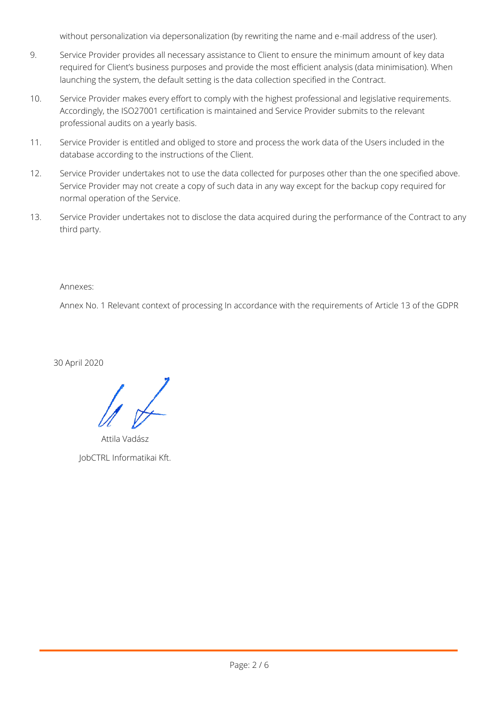without personalization via depersonalization (by rewriting the name and e-mail address of the user).

- 9. Service Provider provides all necessary assistance to Client to ensure the minimum amount of key data required for Client's business purposes and provide the most efficient analysis (data minimisation). When launching the system, the default setting is the data collection specified in the Contract.
- 10. Service Provider makes every effort to comply with the highest professional and legislative requirements. Accordingly, the ISO27001 certification is maintained and Service Provider submits to the relevant professional audits on a yearly basis.
- 11. Service Provider is entitled and obliged to store and process the work data of the Users included in the database according to the instructions of the Client.
- 12. Service Provider undertakes not to use the data collected for purposes other than the one specified above. Service Provider may not create a copy of such data in any way except for the backup copy required for normal operation of the Service.
- 13. Service Provider undertakes not to disclose the data acquired during the performance of the Contract to any third party.

Annexes:

Annex No. 1 Relevant context of processing In accordance with the requirements of Article 13 of the GDPR

30 April 2020

Attila Vadász JobCTRL Informatikai Kft.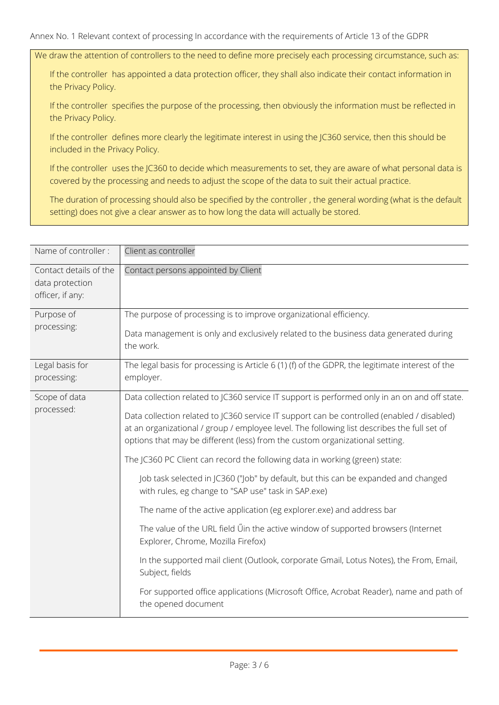We draw the attention of controllers to the need to define more precisely each processing circumstance, such as:

If the controller has appointed a data protection officer, they shall also indicate their contact information in the Privacy Policy.

If the controller specifies the purpose of the processing, then obviously the information must be reflected in the Privacy Policy.

If the controller defines more clearly the legitimate interest in using the JC360 service, then this should be included in the Privacy Policy.

If the controller uses the JC360 to decide which measurements to set, they are aware of what personal data is covered by the processing and needs to adjust the scope of the data to suit their actual practice.

The duration of processing should also be specified by the controller , the general wording (what is the default setting) does not give a clear answer as to how long the data will actually be stored.

| Name of controller:                                           | Client as controller                                                                                                                                                                                                                                                      |
|---------------------------------------------------------------|---------------------------------------------------------------------------------------------------------------------------------------------------------------------------------------------------------------------------------------------------------------------------|
| Contact details of the<br>data protection<br>officer, if any: | Contact persons appointed by Client                                                                                                                                                                                                                                       |
| Purpose of<br>processing:                                     | The purpose of processing is to improve organizational efficiency.                                                                                                                                                                                                        |
|                                                               | Data management is only and exclusively related to the business data generated during<br>the work.                                                                                                                                                                        |
| Legal basis for<br>processing:                                | The legal basis for processing is Article 6 (1) (f) of the GDPR, the legitimate interest of the<br>employer.                                                                                                                                                              |
| Scope of data<br>processed:                                   | Data collection related to JC360 service IT support is performed only in an on and off state.                                                                                                                                                                             |
|                                                               | Data collection related to JC360 service IT support can be controlled (enabled / disabled)<br>at an organizational / group / employee level. The following list describes the full set of<br>options that may be different (less) from the custom organizational setting. |
|                                                               | The JC360 PC Client can record the following data in working (green) state:                                                                                                                                                                                               |
|                                                               | Job task selected in JC360 ("Job" by default, but this can be expanded and changed<br>with rules, eg change to "SAP use" task in SAP.exe)                                                                                                                                 |
|                                                               | The name of the active application (eg explorer.exe) and address bar                                                                                                                                                                                                      |
|                                                               | The value of the URL field Uin the active window of supported browsers (Internet<br>Explorer, Chrome, Mozilla Firefox)                                                                                                                                                    |
|                                                               | In the supported mail client (Outlook, corporate Gmail, Lotus Notes), the From, Email,<br>Subject, fields                                                                                                                                                                 |
|                                                               | For supported office applications (Microsoft Office, Acrobat Reader), name and path of<br>the opened document                                                                                                                                                             |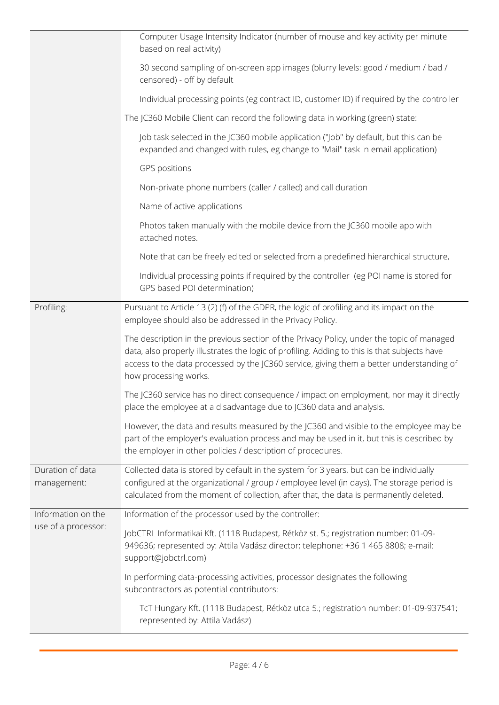|                                           | Computer Usage Intensity Indicator (number of mouse and key activity per minute<br>based on real activity)                                                                                                                                                                                                     |
|-------------------------------------------|----------------------------------------------------------------------------------------------------------------------------------------------------------------------------------------------------------------------------------------------------------------------------------------------------------------|
|                                           | 30 second sampling of on-screen app images (blurry levels: good / medium / bad /<br>censored) - off by default                                                                                                                                                                                                 |
|                                           | Individual processing points (eg contract ID, customer ID) if required by the controller                                                                                                                                                                                                                       |
|                                           | The JC360 Mobile Client can record the following data in working (green) state:                                                                                                                                                                                                                                |
|                                           | Job task selected in the JC360 mobile application ("Job" by default, but this can be<br>expanded and changed with rules, eg change to "Mail" task in email application)                                                                                                                                        |
|                                           | GPS positions                                                                                                                                                                                                                                                                                                  |
|                                           | Non-private phone numbers (caller / called) and call duration                                                                                                                                                                                                                                                  |
|                                           | Name of active applications                                                                                                                                                                                                                                                                                    |
|                                           | Photos taken manually with the mobile device from the JC360 mobile app with<br>attached notes.                                                                                                                                                                                                                 |
|                                           | Note that can be freely edited or selected from a predefined hierarchical structure,                                                                                                                                                                                                                           |
|                                           | Individual processing points if required by the controller (eg POI name is stored for<br>GPS based POI determination)                                                                                                                                                                                          |
| Profiling:                                | Pursuant to Article 13 (2) (f) of the GDPR, the logic of profiling and its impact on the<br>employee should also be addressed in the Privacy Policy.                                                                                                                                                           |
|                                           | The description in the previous section of the Privacy Policy, under the topic of managed<br>data, also properly illustrates the logic of profiling. Adding to this is that subjects have<br>access to the data processed by the JC360 service, giving them a better understanding of<br>how processing works. |
|                                           | The JC360 service has no direct consequence / impact on employment, nor may it directly<br>place the employee at a disadvantage due to JC360 data and analysis.                                                                                                                                                |
|                                           | However, the data and results measured by the JC360 and visible to the employee may be<br>part of the employer's evaluation process and may be used in it, but this is described by<br>the employer in other policies / description of procedures.                                                             |
| Duration of data<br>management:           | Collected data is stored by default in the system for 3 years, but can be individually<br>configured at the organizational / group / employee level (in days). The storage period is<br>calculated from the moment of collection, after that, the data is permanently deleted.                                 |
| Information on the<br>use of a processor: | Information of the processor used by the controller:                                                                                                                                                                                                                                                           |
|                                           | JobCTRL Informatikai Kft. (1118 Budapest, Rétköz st. 5.; registration number: 01-09-<br>949636; represented by: Attila Vadász director; telephone: +36 1 465 8808; e-mail:<br>support@jobctrl.com)                                                                                                             |
|                                           | In performing data-processing activities, processor designates the following<br>subcontractors as potential contributors:                                                                                                                                                                                      |
|                                           | TcT Hungary Kft. (1118 Budapest, Rétköz utca 5.; registration number: 01-09-937541;<br>represented by: Attila Vadász)                                                                                                                                                                                          |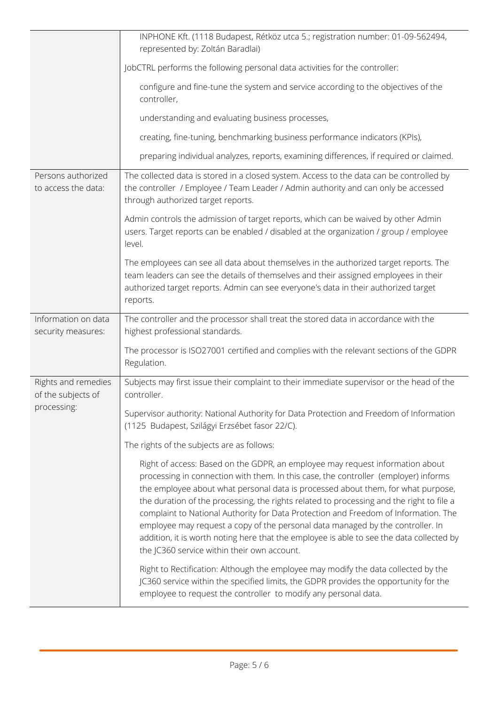|                                                          | INPHONE Kft. (1118 Budapest, Rétköz utca 5.; registration number: 01-09-562494,<br>represented by: Zoltán Baradlai)                                                                                                                                                                                                                                                                                                                                                                                                                                                                                                                                                      |
|----------------------------------------------------------|--------------------------------------------------------------------------------------------------------------------------------------------------------------------------------------------------------------------------------------------------------------------------------------------------------------------------------------------------------------------------------------------------------------------------------------------------------------------------------------------------------------------------------------------------------------------------------------------------------------------------------------------------------------------------|
|                                                          | JobCTRL performs the following personal data activities for the controller:                                                                                                                                                                                                                                                                                                                                                                                                                                                                                                                                                                                              |
|                                                          | configure and fine-tune the system and service according to the objectives of the<br>controller,                                                                                                                                                                                                                                                                                                                                                                                                                                                                                                                                                                         |
|                                                          | understanding and evaluating business processes,                                                                                                                                                                                                                                                                                                                                                                                                                                                                                                                                                                                                                         |
|                                                          | creating, fine-tuning, benchmarking business performance indicators (KPIs),                                                                                                                                                                                                                                                                                                                                                                                                                                                                                                                                                                                              |
|                                                          | preparing individual analyzes, reports, examining differences, if required or claimed.                                                                                                                                                                                                                                                                                                                                                                                                                                                                                                                                                                                   |
| Persons authorized<br>to access the data:                | The collected data is stored in a closed system. Access to the data can be controlled by<br>the controller / Employee / Team Leader / Admin authority and can only be accessed<br>through authorized target reports.                                                                                                                                                                                                                                                                                                                                                                                                                                                     |
|                                                          | Admin controls the admission of target reports, which can be waived by other Admin<br>users. Target reports can be enabled / disabled at the organization / group / employee<br>level.                                                                                                                                                                                                                                                                                                                                                                                                                                                                                   |
|                                                          | The employees can see all data about themselves in the authorized target reports. The<br>team leaders can see the details of themselves and their assigned employees in their<br>authorized target reports. Admin can see everyone's data in their authorized target<br>reports.                                                                                                                                                                                                                                                                                                                                                                                         |
| Information on data<br>security measures:                | The controller and the processor shall treat the stored data in accordance with the<br>highest professional standards.                                                                                                                                                                                                                                                                                                                                                                                                                                                                                                                                                   |
|                                                          | The processor is ISO27001 certified and complies with the relevant sections of the GDPR<br>Regulation.                                                                                                                                                                                                                                                                                                                                                                                                                                                                                                                                                                   |
| Rights and remedies<br>of the subjects of<br>processing: | Subjects may first issue their complaint to their immediate supervisor or the head of the<br>controller.                                                                                                                                                                                                                                                                                                                                                                                                                                                                                                                                                                 |
|                                                          | Supervisor authority: National Authority for Data Protection and Freedom of Information<br>(1125 Budapest, Szilágyi Erzsébet fasor 22/C).                                                                                                                                                                                                                                                                                                                                                                                                                                                                                                                                |
|                                                          | The rights of the subjects are as follows:                                                                                                                                                                                                                                                                                                                                                                                                                                                                                                                                                                                                                               |
|                                                          | Right of access: Based on the GDPR, an employee may request information about<br>processing in connection with them. In this case, the controller (employer) informs<br>the employee about what personal data is processed about them, for what purpose,<br>the duration of the processing, the rights related to processing and the right to file a<br>complaint to National Authority for Data Protection and Freedom of Information. The<br>employee may request a copy of the personal data managed by the controller. In<br>addition, it is worth noting here that the employee is able to see the data collected by<br>the JC360 service within their own account. |
|                                                          | Right to Rectification: Although the employee may modify the data collected by the<br>JC360 service within the specified limits, the GDPR provides the opportunity for the<br>employee to request the controller to modify any personal data.                                                                                                                                                                                                                                                                                                                                                                                                                            |